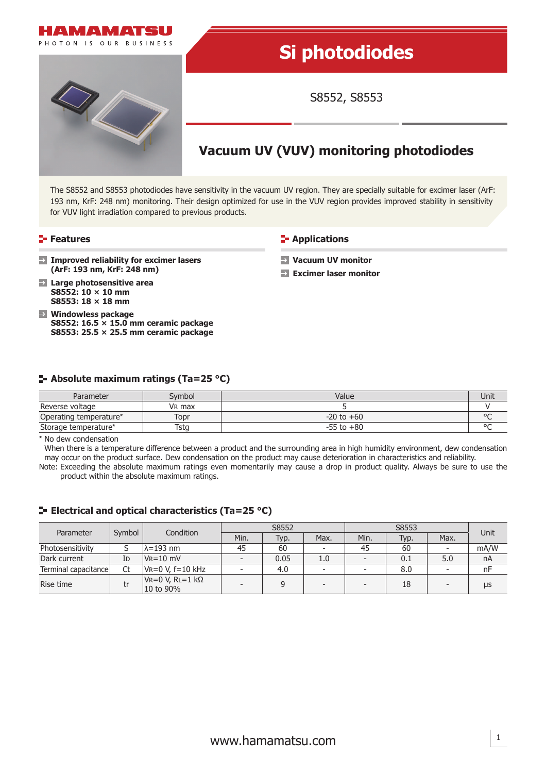

# **Si photodiodes**

S8552, S8553

## **Vacuum UV (VUV) monitoring photodiodes**

The S8552 and S8553 photodiodes have sensitivity in the vacuum UV region. They are specially suitable for excimer laser (ArF: 193 nm, KrF: 248 nm) monitoring. Their design optimized for use in the VUV region provides improved stability in sensitivity for VUV light irradiation compared to previous products.

#### **Features**

**E-** Applications

**Vacuum UV monitor Excimer laser monitor**

- **Improved reliability for excimer lasers (ArF: 193 nm, KrF: 248 nm)**
- **Large photosensitive area S8552: 10 × 10 mm S8553: 18 × 18 mm**
- **Windowless package S8552: 16.5 × 15.0 mm ceramic package S8553: 25.5 × 25.5 mm ceramic package**

#### **Absolute maximum ratings (Ta=25 °C)**

| Parameter              | Svmbol | Value          | Unit   |
|------------------------|--------|----------------|--------|
| Reverse voltage        | VR max |                |        |
| Operating temperature* | Topr   | $-20$ to $+60$ | $\sim$ |
| Storage temperature*   | Tstg   | $-55$ to $+80$ | $\sim$ |

\* No dew condensation

When there is a temperature difference between a product and the surrounding area in high humidity environment, dew condensation may occur on the product surface. Dew condensation on the product may cause deterioration in characteristics and reliability. Note: Exceeding the absolute maximum ratings even momentarily may cause a drop in product quality. Always be sure to use the

product within the absolute maximum ratings.

#### **E** Electrical and optical characteristics (Ta=25 °C)

| Parameter            | Symbol | Condition                        | S8552                    |      |                          | S8553                    |      |      | Unit |
|----------------------|--------|----------------------------------|--------------------------|------|--------------------------|--------------------------|------|------|------|
|                      |        |                                  | Min.                     | Typ. | Max.                     | Min.                     | Typ. | Max. |      |
| Photosensitivity     |        | $\lambda$ =193 nm                | 45                       | 60   | $\overline{\phantom{a}}$ | 45                       | 60   | -    | mA/W |
| Dark current         | Id     | $V_R = 10$ mV                    | $\overline{\phantom{a}}$ | 0.05 | 1.0                      |                          | 0.1  | 5.0  | nA   |
| Terminal capacitance | Ct     | $V = 0 V, f = 10 kHz$            |                          | 4.0  | $\overline{\phantom{0}}$ |                          | 8.0  |      | nF   |
| Rise time            | tr     | $V = 0 V$ , RL=1 kΩ<br>10 to 90% | $\overline{\phantom{a}}$ |      | $\overline{\phantom{0}}$ | $\overline{\phantom{0}}$ | 18   | -    | μs   |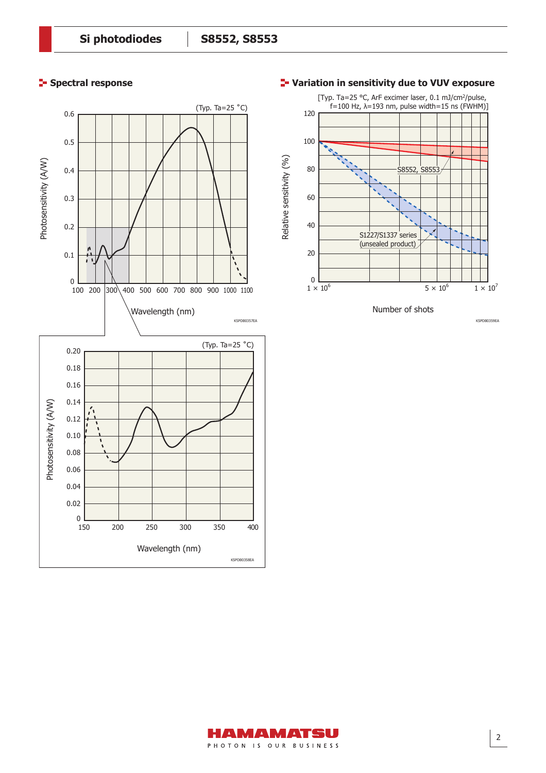### **Spectral response**





Number of shots

KSPDB0359EA

#### **Variation in sensitivity due to VUV exposure**

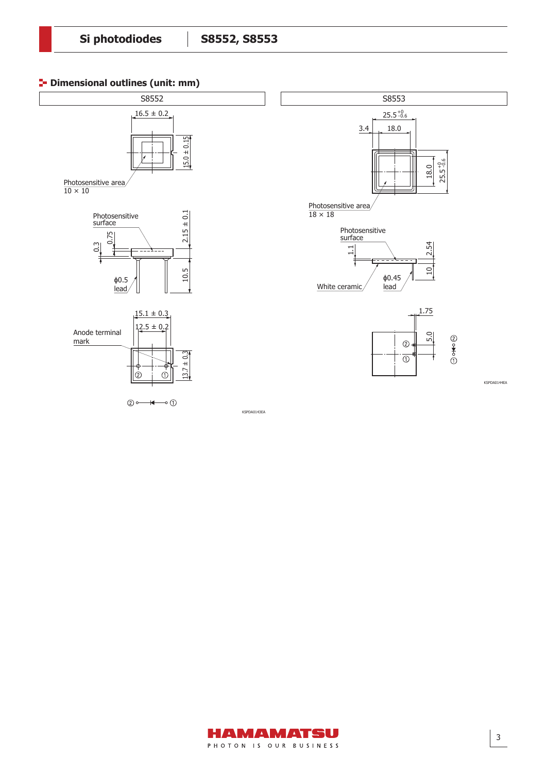### **P** Dimensional outlines (unit: mm)

 $\textcircled{2}\longrightarrow\longrightarrow\hspace{-2.2em}\longleftarrow\hspace{-2.2em}\circ\textcircled{1}$ 



KSPDA0143EA